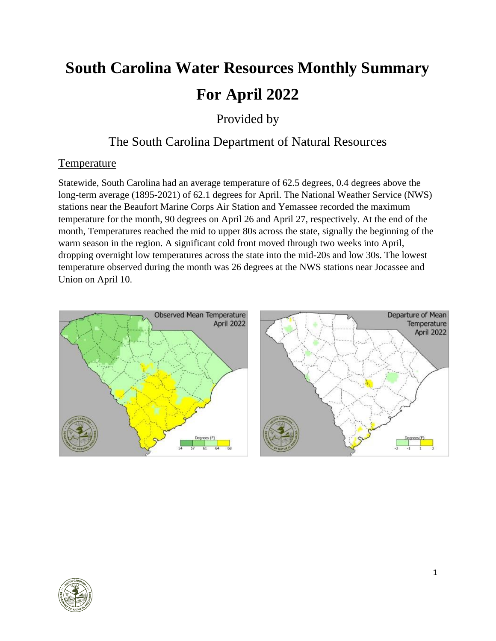# **South Carolina Water Resources Monthly Summary For April 2022**

Provided by

# The South Carolina Department of Natural Resources

# **Temperature**

Statewide, South Carolina had an average temperature of 62.5 degrees, 0.4 degrees above the long-term average (1895-2021) of 62.1 degrees for April. The National Weather Service (NWS) stations near the Beaufort Marine Corps Air Station and Yemassee recorded the maximum temperature for the month, 90 degrees on April 26 and April 27, respectively. At the end of the month, Temperatures reached the mid to upper 80s across the state, signally the beginning of the warm season in the region. A significant cold front moved through two weeks into April, dropping overnight low temperatures across the state into the mid-20s and low 30s. The lowest temperature observed during the month was 26 degrees at the NWS stations near Jocassee and Union on April 10.



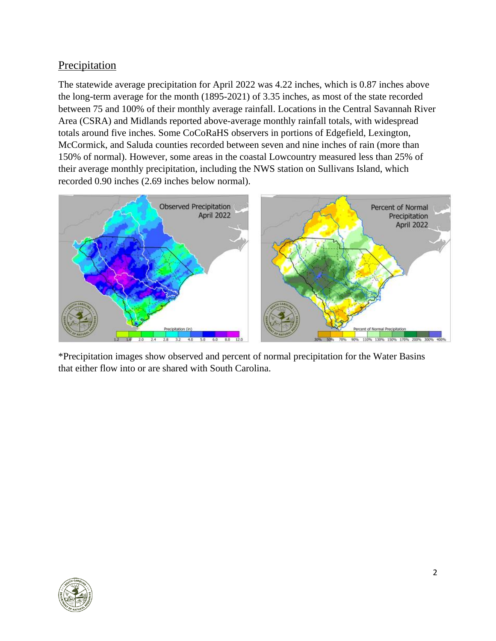# Precipitation

The statewide average precipitation for April 2022 was 4.22 inches, which is 0.87 inches above the long-term average for the month (1895-2021) of 3.35 inches, as most of the state recorded between 75 and 100% of their monthly average rainfall. Locations in the Central Savannah River Area (CSRA) and Midlands reported above-average monthly rainfall totals, with widespread totals around five inches. Some CoCoRaHS observers in portions of Edgefield, Lexington, McCormick, and Saluda counties recorded between seven and nine inches of rain (more than 150% of normal). However, some areas in the coastal Lowcountry measured less than 25% of their average monthly precipitation, including the NWS station on Sullivans Island, which recorded 0.90 inches (2.69 inches below normal).



\*Precipitation images show observed and percent of normal precipitation for the Water Basins that either flow into or are shared with South Carolina.

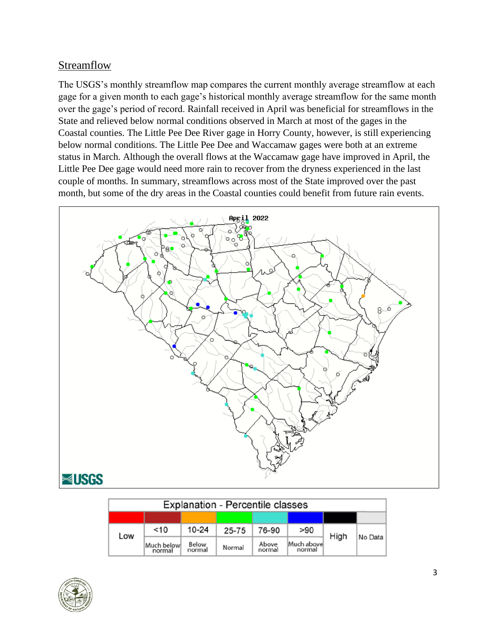# **Streamflow**

The USGS's monthly streamflow map compares the current monthly average streamflow at each gage for a given month to each gage's historical monthly average streamflow for the same month over the gage's period of record. Rainfall received in April was beneficial for streamflows in the State and relieved below normal conditions observed in March at most of the gages in the Coastal counties. The Little Pee Dee River gage in Horry County, however, is still experiencing below normal conditions. The Little Pee Dee and Waccamaw gages were both at an extreme status in March. Although the overall flows at the Waccamaw gage have improved in April, the Little Pee Dee gage would need more rain to recover from the dryness experienced in the last couple of months. In summary, streamflows across most of the State improved over the past month, but some of the dry areas in the Coastal counties could benefit from future rain events.



| <b>Explanation - Percentile classes</b> |                      |                 |           |                 |                       |      |         |  |  |
|-----------------------------------------|----------------------|-----------------|-----------|-----------------|-----------------------|------|---------|--|--|
|                                         |                      |                 |           |                 |                       |      |         |  |  |
| Low                                     | $<$ 10               | $10 - 24$       | $25 - 75$ | 76-90           | >90                   | High | No Data |  |  |
|                                         | Much below<br>normal | Below<br>normal | Normal    | Above<br>normal | Much abovel<br>normal |      |         |  |  |

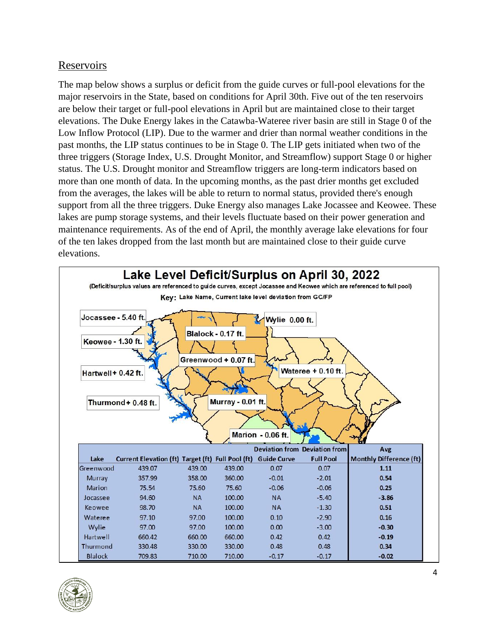#### Reservoirs

The map below shows a surplus or deficit from the guide curves or full-pool elevations for the major reservoirs in the State, based on conditions for April 30th. Five out of the ten reservoirs are below their target or full-pool elevations in April but are maintained close to their target elevations. The Duke Energy lakes in the Catawba-Wateree river basin are still in Stage 0 of the Low Inflow Protocol (LIP). Due to the warmer and drier than normal weather conditions in the past months, the LIP status continues to be in Stage 0. The LIP gets initiated when two of the three triggers (Storage Index, U.S. Drought Monitor, and Streamflow) support Stage 0 or higher status. The U.S. Drought monitor and Streamflow triggers are long-term indicators based on more than one month of data. In the upcoming months, as the past drier months get excluded from the averages, the lakes will be able to return to normal status, provided there's enough support from all the three triggers. Duke Energy also manages Lake Jocassee and Keowee. These lakes are pump storage systems, and their levels fluctuate based on their power generation and maintenance requirements. As of the end of April, the monthly average lake elevations for four of the ten lakes dropped from the last month but are maintained close to their guide curve elevations.



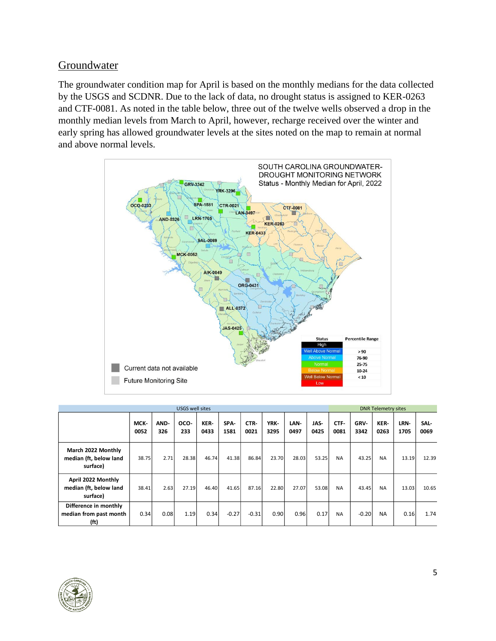## Groundwater

The groundwater condition map for April is based on the monthly medians for the data collected by the USGS and SCDNR. Due to the lack of data, no drought status is assigned to KER-0263 and CTF-0081. As noted in the table below, three out of the twelve wells observed a drop in the monthly median levels from March to April, however, recharge received over the winter and early spring has allowed groundwater levels at the sites noted on the map to remain at normal and above normal levels.



| USGS well sites                                                      |              |             |             |              |              |              |              |              | <b>DNR Telemetry sites</b> |              |              |              |              |              |
|----------------------------------------------------------------------|--------------|-------------|-------------|--------------|--------------|--------------|--------------|--------------|----------------------------|--------------|--------------|--------------|--------------|--------------|
|                                                                      | MCK-<br>0052 | AND-<br>326 | OCO-<br>233 | KER-<br>0433 | SPA-<br>1581 | CTR-<br>0021 | YRK-<br>3295 | LAN-<br>0497 | JAS-<br>0425               | CTF-<br>0081 | GRV-<br>3342 | KER-<br>0263 | LRN-<br>1705 | SAL-<br>0069 |
| March 2022 Monthly<br>median (ft, below land<br>surface)             | 38.75        | 2.71        | 28.38       | 46.74        | 41.38        | 86.84        | 23.70        | 28.03        | 53.25                      | <b>NA</b>    | 43.25        | <b>NA</b>    | 13.19        | 12.39        |
| April 2022 Monthly<br>median (ft, below land<br>surface)             | 38.41        | 2.63        | 27.19       | 46.40        | 41.65        | 87.16        | 22.80        | 27.07        | 53.08                      | <b>NA</b>    | 43.45        | <b>NA</b>    | 13.03        | 10.65        |
| Difference in monthly<br>median from past month<br>(f <sup>t</sup> ) | 0.34         | 0.08        | 1.19        | 0.34         | $-0.27$      | $-0.31$      | 0.90         | 0.96         | 0.17                       | <b>NA</b>    | $-0.20$      | <b>NA</b>    | 0.16         | 1.74         |

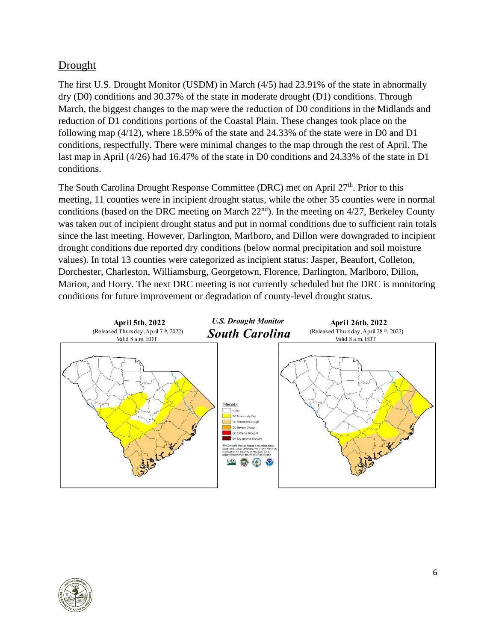# Drought

The first U.S. Drought Monitor (USDM) in March (4/5) had 23.91% of the state in abnormally dry (D0) conditions and 30.37% of the state in moderate drought (D1) conditions. Through March, the biggest changes to the map were the reduction of D0 conditions in the Midlands and reduction of D1 conditions portions of the Coastal Plain. These changes took place on the following map (4/12), where 18.59% of the state and 24.33% of the state were in D0 and D1 conditions, respectfully. There were minimal changes to the map through the rest of April. The last map in April (4/26) had 16.47% of the state in D0 conditions and 24.33% of the state in D1 conditions.

The South Carolina Drought Response Committee (DRC) met on April 27<sup>th</sup>. Prior to this meeting, 11 counties were in incipient drought status, while the other 35 counties were in normal conditions (based on the DRC meeting on March  $22<sup>nd</sup>$ ). In the meeting on  $4/27$ , Berkeley County was taken out of incipient drought status and put in normal conditions due to sufficient rain totals since the last meeting. However, Darlington, Marlboro, and Dillon were downgraded to incipient drought conditions due reported dry conditions (below normal precipitation and soil moisture values). In total 13 counties were categorized as incipient status: Jasper, Beaufort, Colleton, Dorchester, Charleston, Williamsburg, Georgetown, Florence, Darlington, Marlboro, Dillon, Marion, and Horry. The next DRC meeting is not currently scheduled but the DRC is monitoring conditions for future improvement or degradation of county-level drought status.